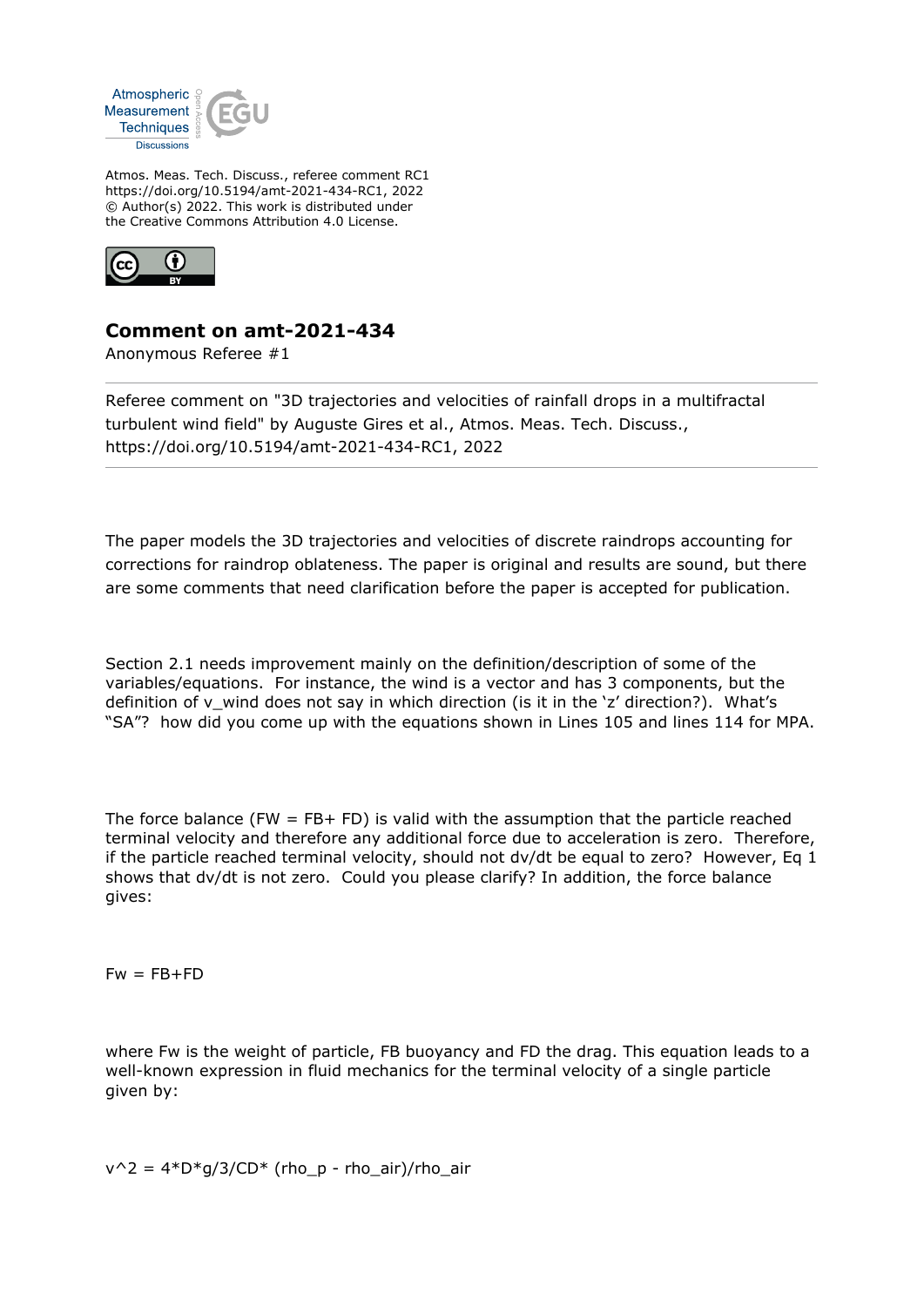

Atmos. Meas. Tech. Discuss., referee comment RC1 https://doi.org/10.5194/amt-2021-434-RC1, 2022 © Author(s) 2022. This work is distributed under the Creative Commons Attribution 4.0 License.



## **Comment on amt-2021-434**

Anonymous Referee #1

Referee comment on "3D trajectories and velocities of rainfall drops in a multifractal turbulent wind field" by Auguste Gires et al., Atmos. Meas. Tech. Discuss., https://doi.org/10.5194/amt-2021-434-RC1, 2022

The paper models the 3D trajectories and velocities of discrete raindrops accounting for corrections for raindrop oblateness. The paper is original and results are sound, but there are some comments that need clarification before the paper is accepted for publication.

Section 2.1 needs improvement mainly on the definition/description of some of the variables/equations. For instance, the wind is a vector and has 3 components, but the definition of v\_wind does not say in which direction (is it in the 'z' direction?). What's "SA"? how did you come up with the equations shown in Lines 105 and lines 114 for MPA.

The force balance (FW  $=$  FB+ FD) is valid with the assumption that the particle reached terminal velocity and therefore any additional force due to acceleration is zero. Therefore, if the particle reached terminal velocity, should not dv/dt be equal to zero? However, Eq 1 shows that dv/dt is not zero. Could you please clarify? In addition, the force balance gives:

 $Fw = FB + FD$ 

where Fw is the weight of particle, FB buoyancy and FD the drag. This equation leads to a well-known expression in fluid mechanics for the terminal velocity of a single particle given by:

 $v^2 = 4*D*g/3/CD*$  (rho\_p - rho\_air)/rho\_air